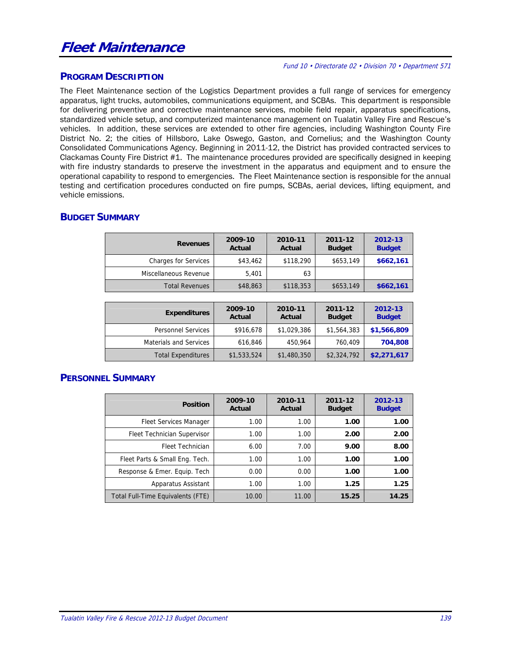# **Fleet Maintenance**

#### Fund 10 • Directorate 02 • Division 70 • Department 571

#### **PROGRAM DESCRIPTION**

The Fleet Maintenance section of the Logistics Department provides a full range of services for emergency apparatus, light trucks, automobiles, communications equipment, and SCBAs. This department is responsible for delivering preventive and corrective maintenance services, mobile field repair, apparatus specifications, standardized vehicle setup, and computerized maintenance management on Tualatin Valley Fire and Rescue's vehicles. In addition, these services are extended to other fire agencies, including Washington County Fire District No. 2; the cities of Hillsboro, Lake Oswego, Gaston, and Cornelius; and the Washington County Consolidated Communications Agency. Beginning in 2011-12, the District has provided contracted services to Clackamas County Fire District #1. The maintenance procedures provided are specifically designed in keeping with fire industry standards to preserve the investment in the apparatus and equipment and to ensure the operational capability to respond to emergencies. The Fleet Maintenance section is responsible for the annual testing and certification procedures conducted on fire pumps, SCBAs, aerial devices, lifting equipment, and vehicle emissions.

# **BUDGET SUMMARY**

| <b>Revenues</b>             | 2009-10<br>Actual | 2010-11<br>Actual | 2011-12<br><b>Budget</b> | 2012-13<br><b>Budget</b> |
|-----------------------------|-------------------|-------------------|--------------------------|--------------------------|
| <b>Charges for Services</b> | \$43,462          | \$118,290         | \$653,149                | \$662,161                |
| Miscellaneous Revenue       | 5.401             | 63                |                          |                          |
| <b>Total Revenues</b>       | \$48,863          | \$118,353         | \$653,149                | \$662,161                |

| <b>Expenditures</b>           | 2009-10<br>Actual | 2010-11<br>Actual | 2011-12<br><b>Budget</b> | 2012-13<br><b>Budget</b> |
|-------------------------------|-------------------|-------------------|--------------------------|--------------------------|
| <b>Personnel Services</b>     | \$916,678         | \$1,029,386       | \$1,564,383              | \$1,566,809              |
| <b>Materials and Services</b> | 616,846           | 450,964           | 760,409                  | 704,808                  |
| <b>Total Expenditures</b>     | \$1,533,524       | \$1,480,350       | \$2,324,792              | \$2,271,617              |

# **PERSONNEL SUMMARY**

| <b>Position</b>                   | 2009-10<br>Actual | 2010-11<br>Actual | 2011-12<br><b>Budget</b> | 2012-13<br><b>Budget</b> |
|-----------------------------------|-------------------|-------------------|--------------------------|--------------------------|
| <b>Fleet Services Manager</b>     | 1.00              | 1.00              | 1.00                     | 1.00                     |
| Fleet Technician Supervisor       | 1.00              | 1.00              | 2.00                     | 2.00                     |
| Fleet Technician                  | 6.00              | 7.00              | 9.00                     | 8.00                     |
| Fleet Parts & Small Eng. Tech.    | 1.00              | 1.00              | 1.00                     | 1.00                     |
| Response & Emer. Equip. Tech      | 0.00              | 0.00              | 1.00                     | 1.00                     |
| Apparatus Assistant               | 1.00              | 1.00              | 1.25                     | 1.25                     |
| Total Full-Time Equivalents (FTE) | 10.00             | 11.00             | 15.25                    | 14.25                    |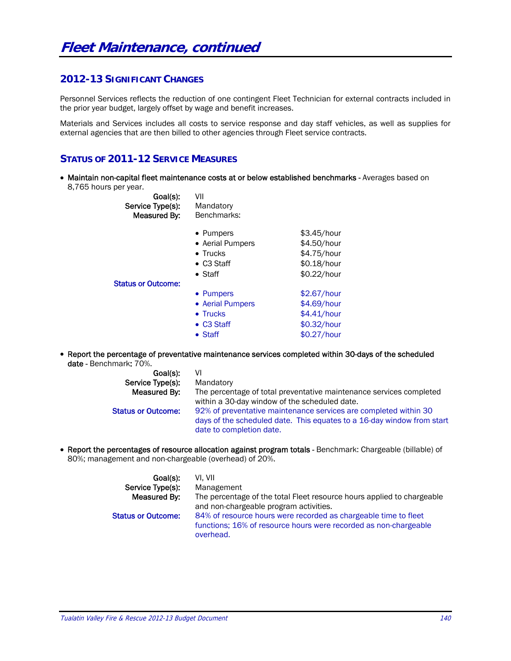#### **2012-13 SIGNIFICANT CHANGES**

Personnel Services reflects the reduction of one contingent Fleet Technician for external contracts included in the prior year budget, largely offset by wage and benefit increases.

Materials and Services includes all costs to service response and day staff vehicles, as well as supplies for external agencies that are then billed to other agencies through Fleet service contracts.

#### **STATUS OF 2011-12 SERVICE MEASURES**

• Maintain non-capital fleet maintenance costs at or below established benchmarks - Averages based on 8,765 hours per year.

| Goal(s):<br>Service Type(s):<br>Measured By: | VII<br>Mandatory<br>Benchmarks: |             |
|----------------------------------------------|---------------------------------|-------------|
|                                              | • Pumpers                       | \$3.45/hour |
|                                              | • Aerial Pumpers                | \$4.50/hour |
|                                              | $\bullet$ Trucks                | \$4.75/hour |
|                                              | $\bullet$ C3 Staff              | \$0.18/hour |
|                                              | $\bullet$ Staff                 | \$0.22/hour |
| <b>Status or Outcome:</b>                    |                                 |             |
|                                              | • Pumpers                       | \$2.67/hour |
|                                              | • Aerial Pumpers                | \$4.69/hour |
|                                              | $\bullet$ Trucks                | \$4.41/hour |
|                                              | • C3 Staff                      | \$0.32/hour |
|                                              | $\bullet$ Staff                 | \$0.27/hour |
|                                              |                                 |             |

 Report the percentage of preventative maintenance services completed within 30-days of the scheduled date - Benchmark: 70%.

| Goal(s):                  | VI                                                                     |
|---------------------------|------------------------------------------------------------------------|
| Service Type(s):          | Mandatory                                                              |
| Measured By:              | The percentage of total preventative maintenance services completed    |
|                           | within a 30-day window of the scheduled date.                          |
| <b>Status or Outcome:</b> | 92% of preventative maintenance services are completed within 30       |
|                           | days of the scheduled date. This equates to a 16-day window from start |
|                           | date to completion date.                                               |

 Report the percentages of resource allocation against program totals - Benchmark: Chargeable (billable) of 80%; management and non-chargeable (overhead) of 20%.

| Goal(s):                  | VI. VII                                                                                                                                          |
|---------------------------|--------------------------------------------------------------------------------------------------------------------------------------------------|
| Service Type(s):          | Management                                                                                                                                       |
| Measured By:              | The percentage of the total Fleet resource hours applied to chargeable<br>and non-chargeable program activities.                                 |
| <b>Status or Outcome:</b> | 84% of resource hours were recorded as chargeable time to fleet<br>functions; 16% of resource hours were recorded as non-chargeable<br>overhead. |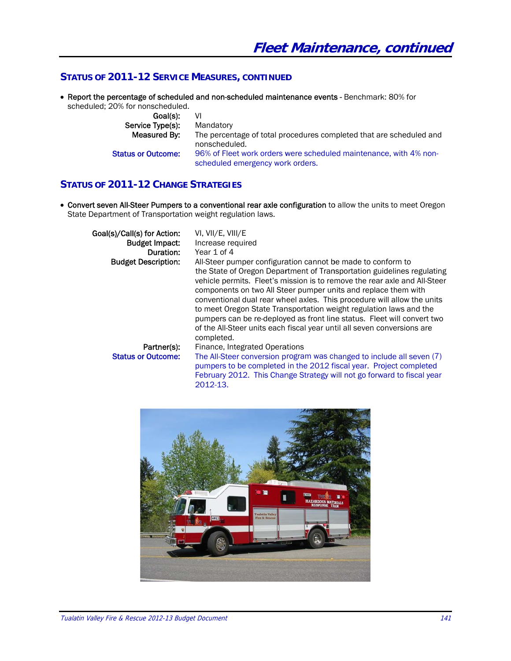#### STATUS OF 2011-12 SERVICE MEASURES, CONTINUED

• Report the percentage of scheduled and non-scheduled maintenance events - Benchmark: 80% for scheduled; 20% for nonscheduled.

| Goal(s):                  | VI                                                                                                    |
|---------------------------|-------------------------------------------------------------------------------------------------------|
| Service Type(s):          | Mandatory                                                                                             |
| Measured By:              | The percentage of total procedures completed that are scheduled and<br>nonscheduled.                  |
| <b>Status or Outcome:</b> | 96% of Fleet work orders were scheduled maintenance, with 4% non-<br>scheduled emergency work orders. |

#### **STATUS O OF 2011-1 12 CHANGE S STRATEGIES S**

• Convert seven All-Steer Pumpers to a conventional rear axle configuration to allow the units to meet Oregon State Department of Transportation weight regulation laws.

| Goal(s)/Call(s) for Action: | VI, VII/E, VIII/E                                                                                                                                                                                                                                                                                                                                                                                                                                                                                                                                                                                         |
|-----------------------------|-----------------------------------------------------------------------------------------------------------------------------------------------------------------------------------------------------------------------------------------------------------------------------------------------------------------------------------------------------------------------------------------------------------------------------------------------------------------------------------------------------------------------------------------------------------------------------------------------------------|
| <b>Budget Impact:</b>       | Increase required                                                                                                                                                                                                                                                                                                                                                                                                                                                                                                                                                                                         |
| Duration:                   | Year 1 of 4                                                                                                                                                                                                                                                                                                                                                                                                                                                                                                                                                                                               |
| <b>Budget Description:</b>  | All-Steer pumper configuration cannot be made to conform to<br>the State of Oregon Department of Transportation guidelines regulating<br>vehicle permits. Fleet's mission is to remove the rear axle and All-Steer<br>components on two All Steer pumper units and replace them with<br>conventional dual rear wheel axles. This procedure will allow the units<br>to meet Oregon State Transportation weight regulation laws and the<br>pumpers can be re-deployed as front line status. Fleet will convert two<br>of the All-Steer units each fiscal year until all seven conversions are<br>completed. |
| Partner(s):                 | Finance, Integrated Operations                                                                                                                                                                                                                                                                                                                                                                                                                                                                                                                                                                            |
| <b>Status or Outcome:</b>   | The All-Steer conversion program was changed to include all seven (7)<br>pumpers to be completed in the 2012 fiscal year. Project completed<br>February 2012. This Change Strategy will not go forward to fiscal year<br>2012-13.                                                                                                                                                                                                                                                                                                                                                                         |

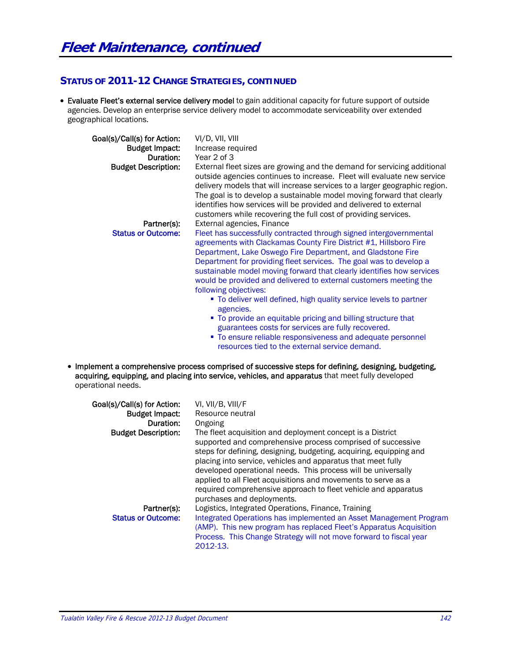# **STATUS OF 2011-12 CHANGE STRATEGIES, CONTINUED**

 Evaluate Fleet's external service delivery model to gain additional capacity for future support of outside agencies. Develop an enterprise service delivery model to accommodate serviceability over extended geographical locations.

| Goal(s)/Call(s) for Action:<br><b>Budget Impact:</b><br>Duration:<br><b>Budget Description:</b> | VI/D, VII, VIII<br>Increase required<br>Year 2 of 3<br>External fleet sizes are growing and the demand for servicing additional<br>outside agencies continues to increase. Fleet will evaluate new service<br>delivery models that will increase services to a larger geographic region.<br>The goal is to develop a sustainable model moving forward that clearly<br>identifies how services will be provided and delivered to external<br>customers while recovering the full cost of providing services.                                                                                                                                                                                                                                                                                               |
|-------------------------------------------------------------------------------------------------|-----------------------------------------------------------------------------------------------------------------------------------------------------------------------------------------------------------------------------------------------------------------------------------------------------------------------------------------------------------------------------------------------------------------------------------------------------------------------------------------------------------------------------------------------------------------------------------------------------------------------------------------------------------------------------------------------------------------------------------------------------------------------------------------------------------|
| Partner(s):<br><b>Status or Outcome:</b>                                                        | External agencies, Finance<br>Fleet has successfully contracted through signed intergovernmental<br>agreements with Clackamas County Fire District #1, Hillsboro Fire<br>Department, Lake Oswego Fire Department, and Gladstone Fire<br>Department for providing fleet services. The goal was to develop a<br>sustainable model moving forward that clearly identifies how services<br>would be provided and delivered to external customers meeting the<br>following objectives:<br>• To deliver well defined, high quality service levels to partner<br>agencies.<br>" To provide an equitable pricing and billing structure that<br>guarantees costs for services are fully recovered.<br>• To ensure reliable responsiveness and adequate personnel<br>resources tied to the external service demand. |
| operational needs.                                                                              | Implement a comprehensive process comprised of successive steps for defining, designing, budgeting,<br>acquiring, equipping, and placing into service, vehicles, and apparatus that meet fully developed                                                                                                                                                                                                                                                                                                                                                                                                                                                                                                                                                                                                  |

| Goal(s)/Call(s) for Action:<br><b>Budget Impact:</b><br>Duration: | VI, VII/B, VIII/F<br>Resource neutral<br>Ongoing                                                                                                                                                                                                                                                                                                                                                                                                                                                  |
|-------------------------------------------------------------------|---------------------------------------------------------------------------------------------------------------------------------------------------------------------------------------------------------------------------------------------------------------------------------------------------------------------------------------------------------------------------------------------------------------------------------------------------------------------------------------------------|
| <b>Budget Description:</b>                                        | The fleet acquisition and deployment concept is a District<br>supported and comprehensive process comprised of successive<br>steps for defining, designing, budgeting, acquiring, equipping and<br>placing into service, vehicles and apparatus that meet fully<br>developed operational needs. This process will be universally<br>applied to all Fleet acquisitions and movements to serve as a<br>required comprehensive approach to fleet vehicle and apparatus<br>purchases and deployments. |
| Partner(s):<br><b>Status or Outcome:</b>                          | Logistics, Integrated Operations, Finance, Training<br>Integrated Operations has implemented an Asset Management Program<br>(AMP). This new program has replaced Fleet's Apparatus Acquisition<br>Process. This Change Strategy will not move forward to fiscal year<br>2012-13.                                                                                                                                                                                                                  |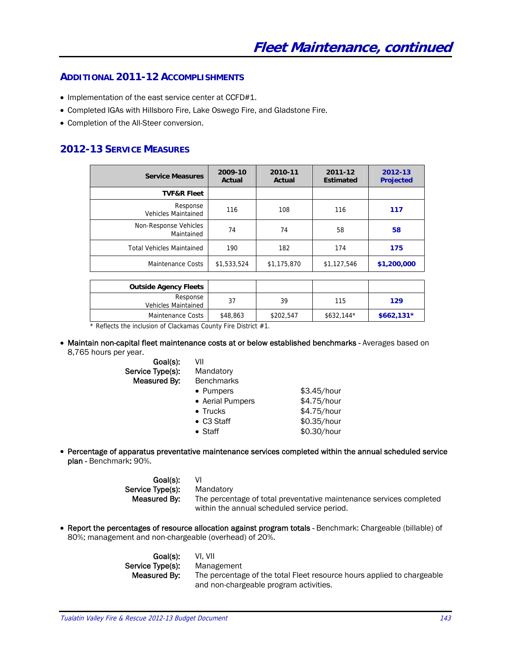#### **ADDITIONAL 2011-12 ACCOMPLISHMENTS**

- Implementation of the east service center at CCFD#1.
- Completed IGAs with Hillsboro Fire, Lake Oswego Fire, and Gladstone Fire.
- Completion of the All-Steer conversion.

## **2012-13 SERVICE MEASURES**

| <b>Service Measures</b>                | 2009-10<br>Actual | 2010-11<br>Actual | 2011-12<br><b>Estimated</b> | 2012-13<br><b>Projected</b> |
|----------------------------------------|-------------------|-------------------|-----------------------------|-----------------------------|
| <b>TVF&amp;R Fleet</b>                 |                   |                   |                             |                             |
| Response<br><b>Vehicles Maintained</b> | 116               | 108               | 116                         | 117                         |
| Non-Response Vehicles<br>Maintained    | 74                | 74                | 58                          | 58                          |
| <b>Total Vehicles Maintained</b>       | 190               | 182               | 174                         | 175                         |
| Maintenance Costs                      | \$1,533,524       | \$1,175,870       | \$1,127,546                 | \$1,200,000                 |

| <b>Outside Agency Fleets</b>           |          |           |             |             |
|----------------------------------------|----------|-----------|-------------|-------------|
| Response<br><b>Vehicles Maintained</b> |          | 39        | 115         | 129         |
| Maintenance Costs                      | \$48,863 | \$202,547 | $$632.144*$ | $$662,131*$ |

\* Reflects the inclusion of Clackamas County Fire District #1.

• Maintain non-capital fleet maintenance costs at or below established benchmarks - Averages based on 8,765 hours per year.

> Goal(s): VII Service Type(s): Measured By: Benchmarks

| VII |           |
|-----|-----------|
|     | Mandatory |
|     | Benchmark |
|     | • Pumpers |

| • Pumpers        | \$3.45/hour |
|------------------|-------------|
| • Aerial Pumpers | \$4.75/hour |

- Trucks \$4.75/hour
	-
- C3 Staff  $$0.35/hour$
- $\bullet$  Staff  $$0.30/hour$
- Percentage of apparatus preventative maintenance services completed within the annual scheduled service plan - Benchmark: 90%.

Goal(s): **VI** Service Type(s): Mandatory

 Measured By: The percentage of total preventative maintenance services completed within the annual scheduled service period.

 Report the percentages of resource allocation against program totals - Benchmark: Chargeable (billable) of 80%; management and non-chargeable (overhead) of 20%.

> Goal(s): VI, VII Service Type(s): Management

Measured By: The percentage of the total Fleet resource hours applied to chargeable and non-chargeable program activities.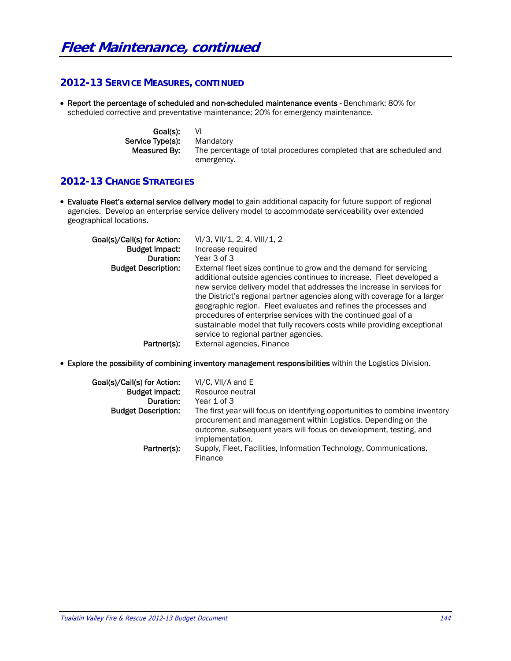## **2012-13 SERVICE MEASURES, CONTINUED**

 Report the percentage of scheduled and non-scheduled maintenance events - Benchmark: 80% for scheduled corrective and preventative maintenance; 20% for emergency maintenance.

> Goal(s): VI Service Type(s): Mandatory Measured By: The percentage of total procedures completed that are scheduled and emergency.

## **2012-13 CHANGE STRATEGIES**

 Evaluate Fleet's external service delivery model to gain additional capacity for future support of regional agencies. Develop an enterprise service delivery model to accommodate serviceability over extended geographical locations.

| Goal(s)/Call(s) for Action:<br><b>Budget Impact:</b><br>Duration: | $VI/3$ , $VII/1$ , 2, 4, $VIII/1$ , 2<br>Increase required<br>Year 3 of 3                                                                                                                                                                                                                                                                                                                                                                                                                                                                                   |
|-------------------------------------------------------------------|-------------------------------------------------------------------------------------------------------------------------------------------------------------------------------------------------------------------------------------------------------------------------------------------------------------------------------------------------------------------------------------------------------------------------------------------------------------------------------------------------------------------------------------------------------------|
| <b>Budget Description:</b>                                        | External fleet sizes continue to grow and the demand for servicing<br>additional outside agencies continues to increase. Fleet developed a<br>new service delivery model that addresses the increase in services for<br>the District's regional partner agencies along with coverage for a larger<br>geographic region. Fleet evaluates and refines the processes and<br>procedures of enterprise services with the continued goal of a<br>sustainable model that fully recovers costs while providing exceptional<br>service to regional partner agencies. |
| Partner(s):                                                       | External agencies, Finance                                                                                                                                                                                                                                                                                                                                                                                                                                                                                                                                  |

Explore the possibility of combining inventory management responsibilities within the Logistics Division.

| Goal(s)/Call(s) for Action:<br><b>Budget Impact:</b><br>Duration: | VI/C, VII/A and E<br>Resource neutral<br>Year 1 of 3                                                                                                                                                                                 |
|-------------------------------------------------------------------|--------------------------------------------------------------------------------------------------------------------------------------------------------------------------------------------------------------------------------------|
| <b>Budget Description:</b>                                        | The first year will focus on identifying opportunities to combine inventory<br>procurement and management within Logistics. Depending on the<br>outcome, subsequent years will focus on development, testing, and<br>implementation. |
| Partner(s):                                                       | Supply, Fleet, Facilities, Information Technology, Communications,<br>Finance                                                                                                                                                        |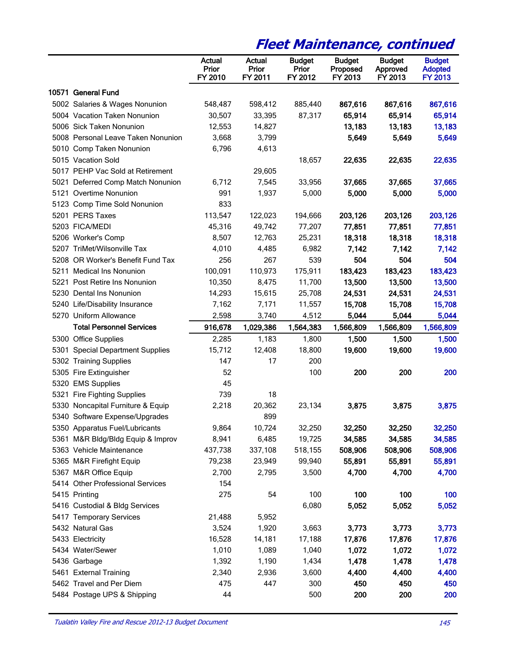# **Fleet Maintenance, continued**

|                                    | Actual<br>Prior<br>FY 2010 | Actual<br>Prior<br>FY 2011 | <b>Budget</b><br>Prior<br>FY 2012 | <b>Budget</b><br>Proposed<br>FY 2013 | <b>Budget</b><br>Approved<br>FY 2013 | <b>Budget</b><br><b>Adopted</b><br><b>FY 2013</b> |
|------------------------------------|----------------------------|----------------------------|-----------------------------------|--------------------------------------|--------------------------------------|---------------------------------------------------|
| 10571 General Fund                 |                            |                            |                                   |                                      |                                      |                                                   |
| 5002 Salaries & Wages Nonunion     | 548,487                    | 598,412                    | 885,440                           | 867,616                              | 867,616                              | 867,616                                           |
| 5004 Vacation Taken Nonunion       | 30,507                     | 33,395                     | 87,317                            | 65,914                               | 65,914                               | 65,914                                            |
| 5006 Sick Taken Nonunion           | 12,553                     | 14,827                     |                                   | 13,183                               | 13,183                               | 13,183                                            |
| 5008 Personal Leave Taken Nonunion | 3,668                      | 3,799                      |                                   | 5,649                                | 5,649                                | 5,649                                             |
| 5010 Comp Taken Nonunion           | 6,796                      | 4,613                      |                                   |                                      |                                      |                                                   |
| 5015 Vacation Sold                 |                            |                            | 18,657                            | 22,635                               | 22,635                               | 22,635                                            |
| 5017 PEHP Vac Sold at Retirement   |                            | 29,605                     |                                   |                                      |                                      |                                                   |
| 5021 Deferred Comp Match Nonunion  | 6,712                      | 7,545                      | 33,956                            | 37,665                               | 37,665                               | 37,665                                            |
| 5121 Overtime Nonunion             | 991                        | 1,937                      | 5,000                             | 5,000                                | 5,000                                | 5,000                                             |
| 5123 Comp Time Sold Nonunion       | 833                        |                            |                                   |                                      |                                      |                                                   |
| 5201 PERS Taxes                    | 113,547                    | 122,023                    | 194,666                           | 203,126                              | 203,126                              | 203,126                                           |
| 5203 FICA/MEDI                     | 45,316                     | 49,742                     | 77,207                            | 77,851                               | 77,851                               | 77,851                                            |
| 5206 Worker's Comp                 | 8,507                      | 12,763                     | 25,231                            | 18,318                               | 18,318                               | 18,318                                            |
| 5207 TriMet/Wilsonville Tax        | 4,010                      | 4,485                      | 6,982                             | 7,142                                | 7,142                                | 7,142                                             |
| 5208 OR Worker's Benefit Fund Tax  | 256                        | 267                        | 539                               | 504                                  | 504                                  | 504                                               |
| 5211 Medical Ins Nonunion          | 100,091                    | 110,973                    | 175,911                           | 183,423                              | 183,423                              | 183,423                                           |
| 5221 Post Retire Ins Nonunion      | 10,350                     | 8,475                      | 11,700                            | 13,500                               | 13,500                               | 13,500                                            |
| 5230 Dental Ins Nonunion           | 14,293                     | 15,615                     | 25,708                            | 24,531                               | 24,531                               | 24,531                                            |
| 5240 Life/Disability Insurance     | 7,162                      | 7,171                      | 11,557                            | 15,708                               | 15,708                               | 15,708                                            |
| 5270 Uniform Allowance             | 2,598                      | 3,740                      | 4,512                             | 5,044                                | 5,044                                | 5,044                                             |
| <b>Total Personnel Services</b>    | 916,678                    | 1,029,386                  | 1,564,383                         | 1,566,809                            | 1,566,809                            | 1,566,809                                         |
| 5300 Office Supplies               | 2,285                      | 1,183                      | 1,800                             | 1,500                                | 1,500                                | 1,500                                             |
| 5301 Special Department Supplies   | 15,712                     | 12,408                     | 18,800                            | 19,600                               | 19,600                               | 19,600                                            |
| 5302 Training Supplies             | 147                        | 17                         | 200                               |                                      |                                      |                                                   |
| 5305 Fire Extinguisher             | 52                         |                            | 100                               | 200                                  | 200                                  | 200                                               |
| 5320 EMS Supplies                  | 45                         |                            |                                   |                                      |                                      |                                                   |
| 5321 Fire Fighting Supplies        | 739                        | 18                         |                                   |                                      |                                      |                                                   |
| 5330 Noncapital Furniture & Equip  | 2,218                      | 20,362                     | 23,134                            | 3,875                                | 3,875                                | 3,875                                             |
| 5340 Software Expense/Upgrades     |                            | 899                        |                                   |                                      |                                      |                                                   |
| 5350 Apparatus Fuel/Lubricants     | 9,864                      | 10,724                     | 32,250                            | 32,250                               | 32,250                               | 32,250                                            |
| 5361 M&R Bldg/Bldg Equip & Improv  | 8,941                      | 6,485                      | 19,725                            | 34,585                               | 34,585                               | 34,585                                            |
| 5363 Vehicle Maintenance           | 437,738                    | 337,108                    | 518,155                           | 508,906                              | 508,906                              | 508,906                                           |
| 5365 M&R Firefight Equip           | 79,238                     | 23,949                     | 99,940                            | 55,891                               | 55,891                               | 55,891                                            |
| 5367 M&R Office Equip              | 2,700                      | 2,795                      | 3,500                             | 4,700                                | 4,700                                | 4,700                                             |
| 5414 Other Professional Services   | 154                        |                            |                                   |                                      |                                      |                                                   |
| 5415 Printing                      | 275                        | 54                         | 100                               | 100                                  | 100                                  | 100                                               |
| 5416 Custodial & Bldg Services     |                            |                            | 6,080                             | 5,052                                | 5,052                                | 5,052                                             |
| 5417 Temporary Services            | 21,488                     | 5,952                      |                                   |                                      |                                      |                                                   |
| 5432 Natural Gas                   | 3,524                      | 1,920                      | 3,663                             | 3,773                                | 3,773                                | 3,773                                             |
| 5433 Electricity                   | 16,528                     | 14,181                     | 17,188                            | 17,876                               | 17,876                               | 17,876                                            |
| 5434 Water/Sewer                   | 1,010                      | 1,089                      | 1,040                             | 1,072                                | 1,072                                | 1,072                                             |
| 5436 Garbage                       | 1,392                      | 1,190                      | 1,434                             | 1,478                                | 1,478                                | 1,478                                             |
| 5461 External Training             | 2,340                      | 2,936                      | 3,600                             | 4,400                                | 4,400                                | 4,400                                             |
| 5462 Travel and Per Diem           | 475                        | 447                        | 300                               | 450                                  | 450                                  | 450                                               |
| 5484 Postage UPS & Shipping        | 44                         |                            | 500                               | 200                                  | 200                                  | 200                                               |